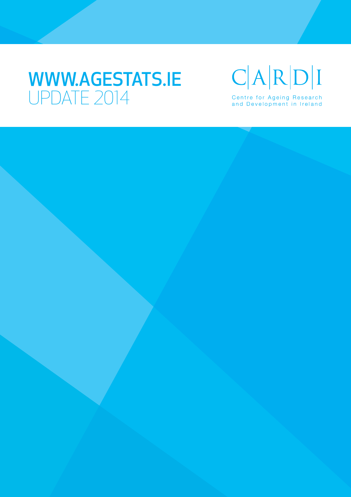## WWW.AGESTATS.IE Update 2014

## $C|A|R|D|I$

Centre for Ageing Research<br>and Development in Ireland

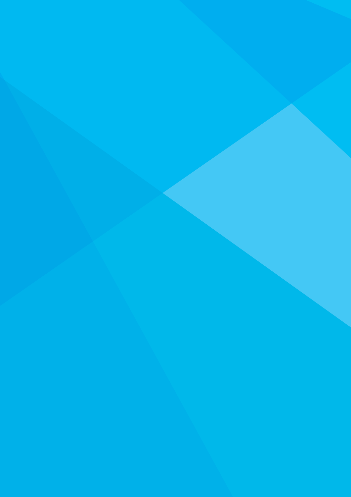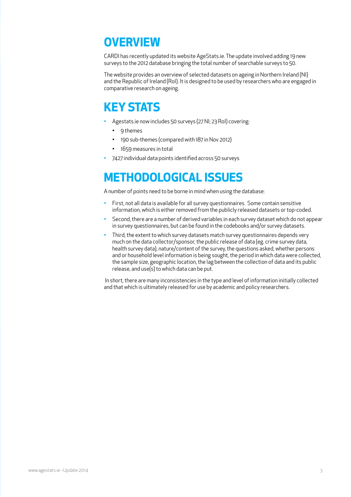#### **Overview**

CARDI has recently updated its website AgeStats.ie. The update involved adding 19 new surveys to the 2012 database bringing the total number of searchable surveys to 50.

The website provides an overview of selected datasets on ageing in Northern Ireland (NI) and the Republic of Ireland (RoI). It is designed to be used by researchers who are engaged in comparative research on ageing.

#### **Key stats**

- **•**  Agestats.ie now includes 50 surveys (27 NI; 23 RoI) covering:
	- **•**  9 themes
	- **•**  190 sub-themes (compared with 187 in Nov 2012)
	- **•**  1659 measures in total
- **•**  7427 individual data points identified across 50 surveys

#### **Methodological Issues**

A number of points need to be borne in mind when using the database:

- **•**  First, not all data is available for all survey questionnaires. Some contain sensitive information, which is either removed from the publicly released datasets or top-coded.
- **•**  Second, there are a number of derived variables in each survey dataset which do not appear in survey questionnaires, but can be found in the codebooks and/or survey datasets.
- Third, the extent to which survey datasets match survey questionnaires depends very much on the data collector/sponsor, the public release of data (eg. crime survey data, health survey data), nature/content of the survey, the questions asked, whether persons and or household level information is being sought, the period in which data were collected, the sample size, geographic location, the lag between the collection of data and its public release, and use(s) to which data can be put.

 In short, there are many inconsistencies in the type and level of information initially collected and that which is ultimately released for use by academic and policy researchers.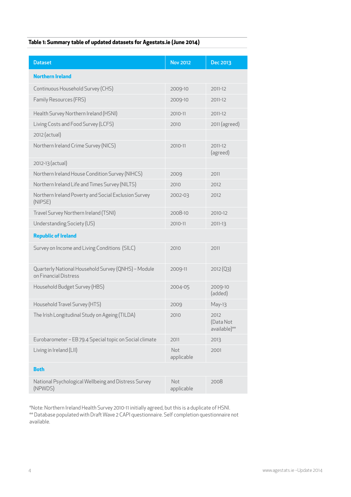#### **Table 1: Summary table of updated datasets for Agestats.ie (June 2014)**

| <b>Dataset</b>                                                               | <b>Nov 2012</b>   | Dec 2013                          |
|------------------------------------------------------------------------------|-------------------|-----------------------------------|
|                                                                              |                   |                                   |
| <b>Northern Ireland</b>                                                      |                   |                                   |
| Continuous Household Survey (CHS)                                            | 2009-10           | 2011-12                           |
| Family Resources (FRS)                                                       | 2009-10           | 2011-12                           |
| Health Survey Northern Ireland (HSNI)                                        | 2010-11           | 2011-12                           |
| Living Costs and Food Survey (LCFS)                                          | 2010              | 2011 (agreed)                     |
| 2012 (actual)                                                                |                   |                                   |
| Northern Ireland Crime Survey (NICS)                                         | 2010-11           | 2011-12<br>(agreed)               |
| 2012-13 (actual)                                                             |                   |                                   |
| Northern Ireland House Condition Survey (NIHCS)                              | 2009              | 2011                              |
| Northern Ireland Life and Times Survey (NILTS)                               | 2010              | 2012                              |
| Northern Ireland Poverty and Social Exclusion Survey<br>(NIPSE)              | 2002-03           | 2012                              |
| Travel Survey Northern Ireland (TSNI)                                        | 2008-10           | 2010-12                           |
| Understanding Society (US)                                                   | 2010-11           | 2011-13                           |
| <b>Republic of Ireland</b>                                                   |                   |                                   |
| Survey on Income and Living Conditions (SILC)                                | 2010              | 2011                              |
| Quarterly National Household Survey (QNHS) - Module<br>on Financial Distress | 2009-11           | 2012 (Q3)                         |
| Household Budget Survey (HBS)                                                | 2004-05           | 2009-10<br>(added)                |
| Household Travel Survey (HTS)                                                | 2009              | $May-13$                          |
| The Irish Longitudinal Study on Ageing (TILDA)                               | 2010              | 2012<br>(Data Not<br>available)** |
| Eurobarometer - EB 79.4 Special topic on Social climate                      | 2011              | 2013                              |
| Living in Ireland (LII)                                                      | Not<br>applicable | 2001                              |
| <b>Both</b>                                                                  |                   |                                   |
| National Psychological Wellbeing and Distress Survey<br>(NPWDS)              | Not<br>applicable | 2008                              |

\*Note: Northern Ireland Health Survey 2010-11 initially agreed, but this is a duplicate of HSNI. \*\* Database populated with Draft Wave 2 CAPI questionnaire. Self completion questionnaire not available.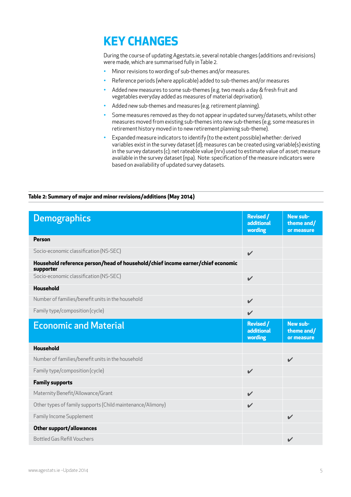### **Key changes**

During the course of updating Agestats.ie, several notable changes (additions and revisions) were made, which are summarised fully in Table 2.

- **•**  Minor revisions to wording of sub-themes and/or measures.
- **•**  Reference periods (where applicable) added to sub-themes and/or measures
- Added new measures to some sub-themes (e.g. two meals a day & fresh fruit and vegetables everyday added as measures of material deprivation).
- Added new sub-themes and measures (e.g. retirement planning).
- Some measures removed as they do not appear in updated survey/datasets, whilst other measures moved from existing sub-themes into new sub-themes (e.g. some measures in retirement history moved in to new retirement planning sub-theme).
- Expanded measure indicators to identify (to the extent possible) whether: derived variables exist in the survey dataset (d); measures can be created using variable(s) existing in the survey datasets (c); net rateable value (nrv) used to estimate value of asset; measure available in the survey dataset (npa). Note: specification of the measure indicators were based on availability of updated survey datasets.

#### **Table 2: Summary of major and minor revisions/additions (May 2014)**

| <b>Demographics</b>                                                                          | <b>Revised</b> /<br>additional<br>wording | New sub-<br>theme and/<br>or measure |
|----------------------------------------------------------------------------------------------|-------------------------------------------|--------------------------------------|
| <b>Person</b>                                                                                |                                           |                                      |
| Socio-economic classification (NS-SEC)                                                       | $\checkmark$                              |                                      |
| Household reference person/head of household/chief income earner/chief economic<br>supporter |                                           |                                      |
| Socio-economic classification (NS-SEC)                                                       | $\checkmark$                              |                                      |
| <b>Household</b>                                                                             |                                           |                                      |
| Number of families/benefit units in the household                                            | $\boldsymbol{\mathcal{U}}$                |                                      |
| Family type/composition (cycle)                                                              | $\checkmark$                              |                                      |
| <b>Economic and Material</b>                                                                 | <b>Revised</b> /<br>additional<br>wording | New sub-<br>theme and/<br>or measure |
| <b>Household</b>                                                                             |                                           |                                      |
| Number of families/benefit units in the household                                            |                                           | $\checkmark$                         |
| Family type/composition (cycle)                                                              | $\mathbf v$                               |                                      |
| <b>Family supports</b>                                                                       |                                           |                                      |
| Maternity Benefit/Allowance/Grant                                                            | $\checkmark$                              |                                      |
| Other types of family supports (Child maintenance/Alimony)                                   | $\boldsymbol{\nu}$                        |                                      |
| Family Income Supplement                                                                     |                                           | $\checkmark$                         |
| Other support/allowances                                                                     |                                           |                                      |
| <b>Bottled Gas Refill Vouchers</b>                                                           |                                           | V                                    |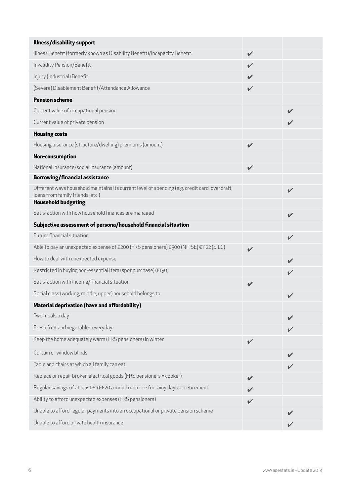| Illness/disability support                                                                                                         |                            |                            |
|------------------------------------------------------------------------------------------------------------------------------------|----------------------------|----------------------------|
| Illness Benefit (formerly known as Disability Benefit)/Incapacity Benefit                                                          | $\checkmark$               |                            |
| Invalidity Pension/Benefit                                                                                                         | ✔                          |                            |
| Injury (Industrial) Benefit                                                                                                        | ✓                          |                            |
| (Severe) Disablement Benefit/Attendance Allowance                                                                                  | $\boldsymbol{\mathcal{U}}$ |                            |
| <b>Pension scheme</b>                                                                                                              |                            |                            |
| Current value of occupational pension                                                                                              |                            | $\boldsymbol{\mathcal{U}}$ |
| Current value of private pension                                                                                                   |                            | ✔                          |
| <b>Housing costs</b>                                                                                                               |                            |                            |
| Housing insurance (structure/dwelling) premiums (amount)                                                                           | $\checkmark$               |                            |
| <b>Non-consumption</b>                                                                                                             |                            |                            |
| National insurance/social insurance (amount)                                                                                       | $\checkmark$               |                            |
| <b>Borrowing/financial assistance</b>                                                                                              |                            |                            |
| Different ways household maintains its current level of spending (e.g. credit card, overdraft,<br>loans from family friends, etc.) |                            | $\overline{\mathbf{v}}$    |
| <b>Household budgeting</b>                                                                                                         |                            |                            |
| Satisfaction with how household finances are managed                                                                               |                            | $\checkmark$               |
| Subjective assessment of persona/household financial situation                                                                     |                            |                            |
| Future financial situation                                                                                                         |                            | $\checkmark$               |
| Able to pay an unexpected expense of £200 (FRS pensioners) £500 (NIPSE) €1122 (SILC)                                               | $\checkmark$               |                            |
| How to deal with unexpected expense                                                                                                |                            | $\checkmark$               |
| Restricted in buying non-essential item (spot purchase) (£150)                                                                     |                            | $\overline{\mathbf{v}}$    |
| Satisfaction with income/financial situation                                                                                       | $\checkmark$               |                            |
| Social class (working, middle, upper) household belongs to                                                                         |                            | $\checkmark$               |
| <b>Material deprivation (have and affordability)</b>                                                                               |                            |                            |
| Two meals a day                                                                                                                    |                            |                            |
| Fresh fruit and vegetables everyday                                                                                                |                            |                            |
| Keep the home adequately warm (FRS pensioners) in winter                                                                           | $\checkmark$               |                            |
| Curtain or window blinds                                                                                                           |                            | V                          |
| Table and chairs at which all family can eat                                                                                       |                            |                            |
| Replace or repair broken electrical goods (FRS pensioners = cooker)                                                                | $\boldsymbol{\mathcal{U}}$ |                            |
| Regular savings of at least £10-£20 a month or more for rainy days or retirement                                                   | ✔                          |                            |
| Ability to afford unexpected expenses (FRS pensioners)                                                                             | ✔                          |                            |
| Unable to afford regular payments into an occupational or private pension scheme                                                   |                            |                            |
| Unable to afford private health insurance                                                                                          |                            |                            |
|                                                                                                                                    |                            |                            |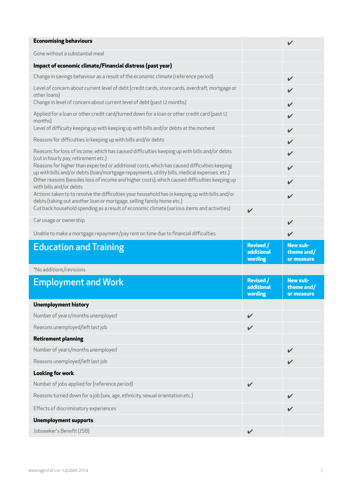| <b>Economising behaviours</b>                                                                                                                                                                                                                                                                |                                           | $\boldsymbol{\mathcal{U}}$           |
|----------------------------------------------------------------------------------------------------------------------------------------------------------------------------------------------------------------------------------------------------------------------------------------------|-------------------------------------------|--------------------------------------|
| Gone without a substantial meal                                                                                                                                                                                                                                                              |                                           |                                      |
| Impact of economic climate/Financial distress (past year)                                                                                                                                                                                                                                    |                                           |                                      |
| Change in savings behaviour as a result of the economic climate (reference period)                                                                                                                                                                                                           |                                           | $\boldsymbol{\mathcal{U}}$           |
| Level of concern about current level of debt (credit cards, store cards, overdraft, mortgage or<br>other loans)                                                                                                                                                                              |                                           |                                      |
| Change in level of concern about current level of debt (past 12 months)                                                                                                                                                                                                                      |                                           | ✔                                    |
| Applied for a loan or other credit card/turned down for a loan or other credit card (past 12<br>months)                                                                                                                                                                                      |                                           | $\boldsymbol{\mathcal{U}}$           |
| Level of difficulty keeping up with keeping up with bills and/or debts at the moment                                                                                                                                                                                                         |                                           | V                                    |
| Reasons for difficulties in keeping up with bills and/or debts                                                                                                                                                                                                                               |                                           | V                                    |
| Reasons for loss of income, which has caused difficulties keeping up with bills and/or debts<br>(cut in hourly pay, retirement etc.)                                                                                                                                                         |                                           | ✔                                    |
| Reasons for higher than expected or additional costs, which has caused difficulties keeping<br>up with bills and/or debts (loan/mortgage repayments, utility bills, medical expenses, etc.)<br>Other reasons (besides loss of income and higher costs), which caused difficulties keeping up |                                           | ✔                                    |
| with bills and/or debts<br>Actions taken to to resolve the difficulties your household has in keeping up with bills and/or                                                                                                                                                                   |                                           | ✔                                    |
| debts (taking out another loan or mortgage, selling family home etc.)<br>Cut back household spending as a result of economic climate (various items and activities)                                                                                                                          |                                           | ✔                                    |
| Car usage or ownership                                                                                                                                                                                                                                                                       | $\boldsymbol{\mathscr{L}}$                | $\checkmark$                         |
| Unable to make a mortgage repayment/pay rent on time due to financial difficulties                                                                                                                                                                                                           |                                           | $\boldsymbol{\mathcal{U}}$           |
|                                                                                                                                                                                                                                                                                              |                                           |                                      |
| <b>Education and Training</b>                                                                                                                                                                                                                                                                | <b>Revised</b> /<br>additional<br>wording | New sub-<br>theme and/<br>or measure |
| *No additions/revisions                                                                                                                                                                                                                                                                      |                                           |                                      |
| <b>Employment and Work</b>                                                                                                                                                                                                                                                                   | <b>Revised</b> /<br>additional<br>wording | New sub-<br>theme and/<br>or measure |
| <b>Unemployment history</b>                                                                                                                                                                                                                                                                  |                                           |                                      |
| Number of years/months unemployed                                                                                                                                                                                                                                                            | ✔                                         |                                      |
| Reasons unemployed/left last job                                                                                                                                                                                                                                                             | V                                         |                                      |
| <b>Retirement planning</b>                                                                                                                                                                                                                                                                   |                                           |                                      |
| Number of years/months unemployed                                                                                                                                                                                                                                                            |                                           | $\boldsymbol{\mathcal{U}}$           |
| Reasons unemployed/left last job                                                                                                                                                                                                                                                             |                                           |                                      |
| <b>Looking for work</b>                                                                                                                                                                                                                                                                      |                                           |                                      |
| Number of jobs applied for (reference period)                                                                                                                                                                                                                                                | V                                         |                                      |
| Reasons turned down for a job (sex, age, ethnicity, sexual orientation etc.)                                                                                                                                                                                                                 |                                           | ✔                                    |
| Effects of discriminatory experiences                                                                                                                                                                                                                                                        |                                           |                                      |
| <b>Unemployment supports</b>                                                                                                                                                                                                                                                                 |                                           |                                      |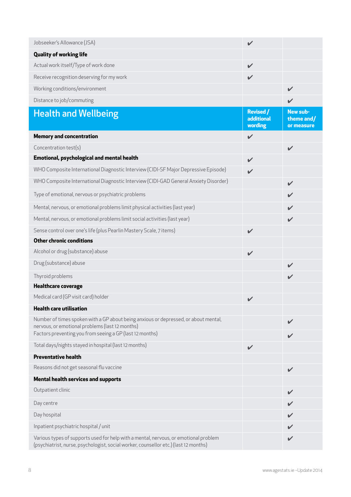| Jobseeker's Allowance (JSA)                                                                                                                                                  | $\checkmark$                              |                                      |
|------------------------------------------------------------------------------------------------------------------------------------------------------------------------------|-------------------------------------------|--------------------------------------|
| <b>Quality of working life</b>                                                                                                                                               |                                           |                                      |
| Actual work itself/Type of work done                                                                                                                                         | $\boldsymbol{\mathcal{U}}$                |                                      |
| Receive recognition deserving for my work                                                                                                                                    | $\boldsymbol{\mathcal{U}}$                |                                      |
| Working conditions/environment                                                                                                                                               |                                           | $\checkmark$                         |
| Distance to job/commuting                                                                                                                                                    |                                           | $\boldsymbol{\mathcal{U}}$           |
| <b>Health and Wellbeing</b>                                                                                                                                                  | <b>Revised /</b><br>additional<br>wording | New sub-<br>theme and/<br>or measure |
| <b>Memory and concentration</b>                                                                                                                                              | $\checkmark$                              |                                      |
| Concentration test(s)                                                                                                                                                        |                                           | $\overline{\mathbf{v}}$              |
| <b>Emotional, psychological and mental health</b>                                                                                                                            | $\checkmark$                              |                                      |
| WHO Composite International Diagnostic Interview (CIDI-SF Major Depressive Episode)                                                                                          | $\boldsymbol{\mathscr{C}}$                |                                      |
| WHO Composite International Diagnostic Interview (CIDI-GAD General Anxiety Disorder)                                                                                         |                                           | $\checkmark$                         |
| Type of emotional, nervous or psychiatric problems                                                                                                                           |                                           | $\boldsymbol{\mathcal{U}}$           |
| Mental, nervous, or emotional problems limit physical activities (last year)                                                                                                 |                                           | ✔                                    |
| Mental, nervous, or emotional problems limit social activities (last year)                                                                                                   |                                           | V                                    |
| Sense control over one's life (plus Pearlin Mastery Scale, 7 items)                                                                                                          | $\checkmark$                              |                                      |
| <b>Other chronic conditions</b>                                                                                                                                              |                                           |                                      |
| Alcohol or drug (substance) abuse                                                                                                                                            | $\checkmark$                              |                                      |
| Drug (substance) abuse                                                                                                                                                       |                                           | V                                    |
| Thyroid problems                                                                                                                                                             |                                           | $\boldsymbol{\mathcal{U}}$           |
| <b>Healthcare coverage</b>                                                                                                                                                   |                                           |                                      |
| Medical card (GP visit card) holder                                                                                                                                          | $\checkmark$                              |                                      |
| <b>Health care utilisation</b>                                                                                                                                               |                                           |                                      |
| Number of times spoken with a GP about being anxious or depressed, or about mental,<br>nervous, or emotional problems (last 12 months)                                       |                                           | $\checkmark$                         |
| Factors preventing you from seeing a GP (last 12 months)                                                                                                                     |                                           |                                      |
| Total days/nights stayed in hospital (last 12 months)                                                                                                                        | ✔                                         |                                      |
| <b>Preventative health</b>                                                                                                                                                   |                                           |                                      |
| Reasons did not get seasonal flu vaccine                                                                                                                                     |                                           | $\checkmark$                         |
| <b>Mental health services and supports</b>                                                                                                                                   |                                           |                                      |
| Outpatient clinic                                                                                                                                                            |                                           | V                                    |
| Day centre                                                                                                                                                                   |                                           | V                                    |
| Day hospital                                                                                                                                                                 |                                           | ✔                                    |
| Inpatient psychiatric hospital / unit                                                                                                                                        |                                           |                                      |
| Various types of supports used for help with a mental, nervous, or emotional problem<br>(psychiatrist, nurse, psychologist, social worker, counsellor etc.) (last 12 months) |                                           |                                      |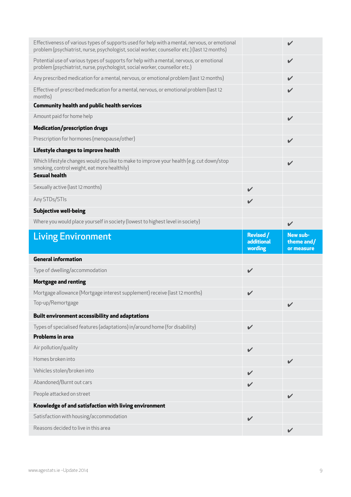| Effectiveness of various types of supports used for help with a mental, nervous, or emotional<br>problem (psychiatrist, nurse, psychologist, social worker, counsellor etc.) (last 12 months) |                            | $\overline{\mathbf{v}}$    |
|-----------------------------------------------------------------------------------------------------------------------------------------------------------------------------------------------|----------------------------|----------------------------|
| Potential use of various types of supports for help with a mental, nervous, or emotional<br>problem (psychiatrist, nurse, psychologist, social worker, counsellor etc.)                       |                            | $\boldsymbol{\mathcal{U}}$ |
| Any prescribed medication for a mental, nervous, or emotional problem (last 12 months)                                                                                                        |                            | V                          |
| Effective of prescribed medication for a mental, nervous, or emotional problem (last 12<br>months)                                                                                            |                            | $\checkmark$               |
| <b>Community health and public health services</b>                                                                                                                                            |                            |                            |
| Amount paid for home help                                                                                                                                                                     |                            | $\checkmark$               |
| <b>Medication/prescription drugs</b>                                                                                                                                                          |                            |                            |
| Prescription for hormones (menopause/other)                                                                                                                                                   |                            | $\boldsymbol{\mathcal{U}}$ |
| Lifestyle changes to improve health                                                                                                                                                           |                            |                            |
| Which lifestyle changes would you like to make to improve your health (e.g. cut down/stop<br>smoking, control weight, eat more healthily)<br><b>Sexual health</b>                             |                            | $\boldsymbol{\mathcal{U}}$ |
| Sexually active (last 12 months)                                                                                                                                                              | $\checkmark$               |                            |
| Any STDs/STIs                                                                                                                                                                                 | $\boldsymbol{\mathcal{U}}$ |                            |
| <b>Subjective well-being</b>                                                                                                                                                                  |                            |                            |
| Where you would place yourself in society (lowest to highest level in society)                                                                                                                |                            | $\checkmark$               |
|                                                                                                                                                                                               | <b>Revised</b> /           | New sub-                   |
| <b>Living Environment</b>                                                                                                                                                                     | additional<br>wording      | theme and/<br>or measure   |
| <b>General information</b>                                                                                                                                                                    |                            |                            |
| Type of dwelling/accommodation                                                                                                                                                                | $\checkmark$               |                            |
| <b>Mortgage and renting</b>                                                                                                                                                                   |                            |                            |
| Mortgage allowance (Mortgage interest supplement) receive (last 12 months)                                                                                                                    | $\checkmark$               |                            |
| Top-up/Remortgage                                                                                                                                                                             |                            |                            |
| <b>Built environment accessibility and adaptations</b>                                                                                                                                        |                            |                            |
| Types of specialised features (adaptations) in/around home (for disability)                                                                                                                   | $\checkmark$               |                            |
| <b>Problems in area</b>                                                                                                                                                                       |                            |                            |
| Air pollution/quality                                                                                                                                                                         | $\checkmark$               |                            |
| Homes broken into                                                                                                                                                                             |                            | $\mathbf v$                |
| Vehicles stolen/broken into                                                                                                                                                                   | $\checkmark$               |                            |
| Abandoned/Burnt out cars                                                                                                                                                                      | $\boldsymbol{\mathcal{U}}$ |                            |
| People attacked on street                                                                                                                                                                     |                            | $\checkmark$               |
| Knowledge of and satisfaction with living environment                                                                                                                                         |                            |                            |
| Satisfaction with housing/accommodation                                                                                                                                                       | $\checkmark$               |                            |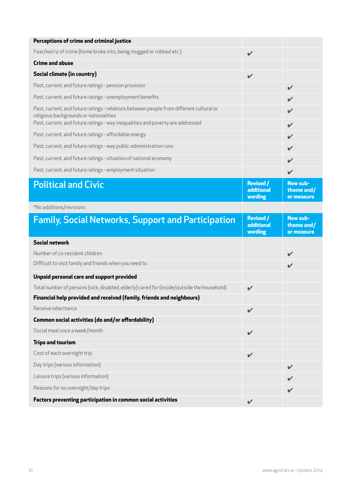| Perceptions of crime and criminal justice                                                                                                                                                                           |                                                  |                                      |
|---------------------------------------------------------------------------------------------------------------------------------------------------------------------------------------------------------------------|--------------------------------------------------|--------------------------------------|
| Fear/worry of crime (home broke into, being mugged or robbed etc.)                                                                                                                                                  | $\checkmark$                                     |                                      |
| <b>Crime and abuse</b>                                                                                                                                                                                              |                                                  |                                      |
| Social climate (in country)                                                                                                                                                                                         | $\checkmark$                                     |                                      |
| Past, current, and future ratings - pension provision                                                                                                                                                               |                                                  | $\checkmark$                         |
| Past, current, and future ratings - unemployment benefits                                                                                                                                                           |                                                  |                                      |
| Past, current, and future ratings - relations between people from different cultural or<br>religious backgrounds or nationalities<br>Past, current, and future ratings - way inequalities and poverty are addressed |                                                  | $\boldsymbol{\mathcal{U}}$           |
|                                                                                                                                                                                                                     |                                                  | $\checkmark$                         |
| Past, current, and future ratings - affordable energy                                                                                                                                                               |                                                  | $\checkmark$                         |
| Past, current, and future ratings - way public administration runs                                                                                                                                                  |                                                  | $\boldsymbol{\mathcal{U}}$           |
| Past, current, and future ratings - situation of national economy                                                                                                                                                   |                                                  | $\checkmark$                         |
| Past, current, and future ratings - employment situation                                                                                                                                                            |                                                  | $\checkmark$                         |
| <b>Political and Civic</b>                                                                                                                                                                                          | <b>Revised /</b><br><b>additional</b><br>wording | New sub-<br>theme and/<br>or measure |
| *No additions/revisions                                                                                                                                                                                             |                                                  |                                      |
| <b>Family, Social Networks, Support and Participation</b>                                                                                                                                                           | <b>Revised /</b>                                 | New sub-                             |
|                                                                                                                                                                                                                     | <b>additional</b><br>wording                     | theme and/<br>or measure             |
| <b>Social network</b>                                                                                                                                                                                               |                                                  |                                      |
| Number of co-resident children                                                                                                                                                                                      |                                                  | $\boldsymbol{\mathcal{U}}$           |
| Difficult to visit family and friends when you need to                                                                                                                                                              |                                                  | $\boldsymbol{\nu}$                   |
| Unpaid personal care and support provided                                                                                                                                                                           |                                                  |                                      |
| Total number of persons (sick, disabled, elderly) cared for (inside/outside the household)                                                                                                                          | $\mathbf{v}$                                     |                                      |
| Financial help provided and received (family, friends and neighbours)                                                                                                                                               |                                                  |                                      |
| Receive inheritance                                                                                                                                                                                                 | V                                                |                                      |
| Common social activities (do and/or affordability)                                                                                                                                                                  |                                                  |                                      |
| Social meal once a week/month                                                                                                                                                                                       | $\boldsymbol{\mathcal{U}}$                       |                                      |
| <b>Trips and tourism</b>                                                                                                                                                                                            |                                                  |                                      |
| Cost of each overnight trip                                                                                                                                                                                         | $\checkmark$                                     |                                      |
| Day trips (various information)                                                                                                                                                                                     |                                                  | V                                    |
| Leisure trips (various information)                                                                                                                                                                                 |                                                  |                                      |
| Reasons for no overnight/day trips                                                                                                                                                                                  |                                                  |                                      |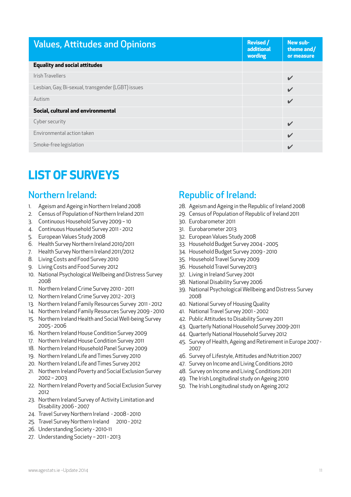| <b>Values, Attitudes and Opinions</b>              | <b>Revised</b> /<br>additional<br>wording | New sub-<br>theme and/<br>or measure |
|----------------------------------------------------|-------------------------------------------|--------------------------------------|
| <b>Equality and social attitudes</b>               |                                           |                                      |
| <b>Irish Travellers</b>                            |                                           | $\boldsymbol{\mathcal{U}}$           |
| Lesbian, Gay, Bi-sexual, transgender (LGBT) issues |                                           | $\boldsymbol{\mathcal{U}}$           |
| Autism                                             |                                           | $\boldsymbol{\mathcal{U}}$           |
| Social, cultural and environmental                 |                                           |                                      |
| Cyber security                                     |                                           | $\overline{\mathscr{L}}$             |
| Environmental action taken                         |                                           | $\boldsymbol{\mathcal{U}}$           |
| Smoke-free legislation                             |                                           |                                      |

### **List of surveys**

#### Northern Ireland:

- 1. Ageism and Ageing in Northern Ireland 2008
- 2. Census of Population of Northern Ireland 2011
- 3. Continuous Household Survey 2009 10
- 4. Continuous Household Survey 2011 2012
- 5. European Values Study 2008
- 6. Health Survey Northern Ireland 2010/2011
- 7. Health Survey Northern Ireland 2011/2012
- 8. Living Costs and Food Survey 2010
- 9. Living Costs and Food Survey 2012
- 10. National Psychological Wellbeing and Distress Survey 2008
- 11. Northern Ireland Crime Survey 2010 2011
- 12. Northern Ireland Crime Survey 2012 2013
- 13. Northern Ireland Family Resources Survey 2011 2012
- 14. Northern Ireland Family Resources Survey 2009 2010
- 15. Northern Ireland Health and Social Well-being Survey 2005 - 2006
- 16. Northern Ireland House Condition Survey 2009
- 17. Northern Ireland House Condition Survey 2011
- 18. Northern Ireland Household Panel Survey 2009
- 19. Northern Ireland Life and Times Survey 2010
- 20. Northern Ireland Life and Times Survey 2012
- 21. Northern Ireland Poverty and Social Exclusion Survey 2002 – 2003
- 22. Northern Ireland Poverty and Social Exclusion Survey 2012
- 23. Northern Ireland Survey of Activity Limitation and Disability 2006 - 2007
- 24. Travel Survey Northern Ireland 2008 2010
- 25. Travel Survey Northern Ireland 2010 2012
- 26. Understanding Society 2010-11
- 27. Understanding Society 2011 2013

#### Republic of Ireland:

- 28. Ageism and Ageing in the Republic of Ireland 2008
- 29. Census of Population of Republic of Ireland 2011
- 30. Eurobarometer 2011
- 31. Eurobarometer 2013
- 32. European Values Study 2008
- 33. Household Budget Survey 2004 2005
- 34. Household Budget Survey 2009 2010
- 35. Household Travel Survey 2009
- 36. Household Travel Survey2013
- 37. Living in Ireland Survey 2001
- 38. National Disability Survey 2006
- 39. National Psychological Wellbeing and Distress Survey 2008
- 40. National Survey of Housing Quality
- 41. National Travel Survey 2001 2002
- 42. Public Attitudes to Disability Survey 2011
- 43. Quarterly National Household Survey 2009-2011
- 44. Quarterly National Household Survey 2012
- 45. Survey of Health, Ageing and Retirement in Europe 2007 2007
- 46. Survey of Lifestyle, Attitudes and Nutrition 2007
- 47. Survey on Income and Living Conditions 2010
- 48. Survey on Income and Living Conditions 2011
- 49. The Irish Longitudinal study on Ageing 2010
- 50. The Irish Longitudinal study on Ageing 2012